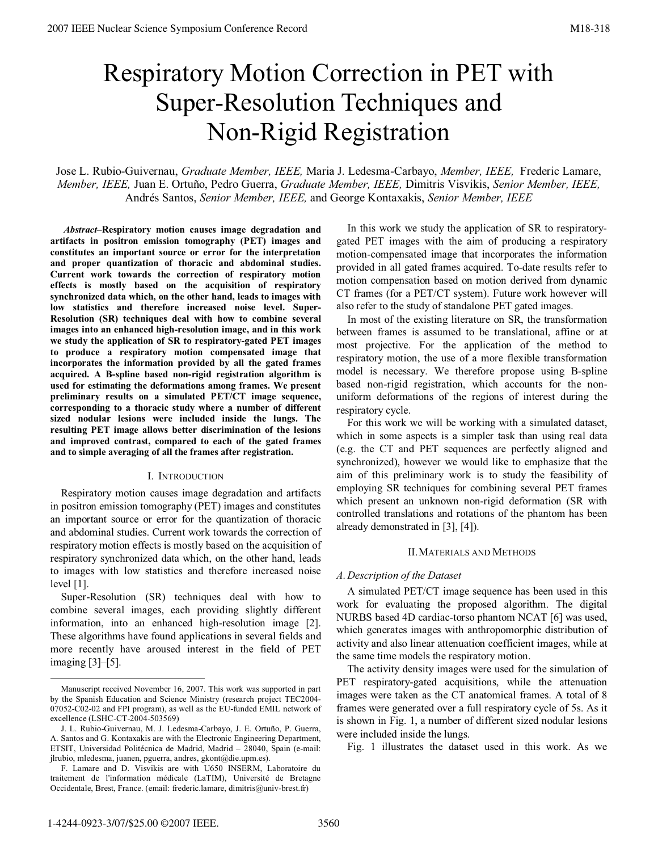# Respiratory Motion Correction in PET with Super-Resolution Techniques and Non-Rigid Registration

Jose L. Rubio-Guivernau, *Graduate Member, IEEE,* Maria J. Ledesma-Carbayo, *Member, IEEE,* Frederic Lamare, *Member, IEEE,* Juan E. Ortuño, Pedro Guerra, *Graduate Member, IEEE,* Dimitris Visvikis, *Senior Member, IEEE,*  Andrés Santos, *Senior Member, IEEE,* and George Kontaxakis, *Senior Member, IEEE*

 *Abstract–***Respiratory motion causes image degradation and artifacts in positron emission tomography (PET) images and constitutes an important source or error for the interpretation and proper quantization of thoracic and abdominal studies. Current work towards the correction of respiratory motion effects is mostly based on the acquisition of respiratory synchronized data which, on the other hand, leads to images with low statistics and therefore increased noise level. Super-Resolution (SR) techniques deal with how to combine several images into an enhanced high-resolution image, and in this work we study the application of SR to respiratory-gated PET images to produce a respiratory motion compensated image that incorporates the information provided by all the gated frames acquired. A B-spline based non-rigid registration algorithm is used for estimating the deformations among frames. We present preliminary results on a simulated PET/CT image sequence, corresponding to a thoracic study where a number of different sized nodular lesions were included inside the lungs. The resulting PET image allows better discrimination of the lesions and improved contrast, compared to each of the gated frames and to simple averaging of all the frames after registration.** 

## I. INTRODUCTION

Respiratory motion causes image degradation and artifacts in positron emission tomography (PET) images and constitutes an important source or error for the quantization of thoracic and abdominal studies. Current work towards the correction of respiratory motion effects is mostly based on the acquisition of respiratory synchronized data which, on the other hand, leads to images with low statistics and therefore increased noise level [1].

Super-Resolution (SR) techniques deal with how to combine several images, each providing slightly different information, into an enhanced high-resolution image [2]. These algorithms have found applications in several fields and more recently have aroused interest in the field of PET imaging [3]–[5].

In this work we study the application of SR to respiratorygated PET images with the aim of producing a respiratory motion-compensated image that incorporates the information provided in all gated frames acquired. To-date results refer to motion compensation based on motion derived from dynamic CT frames (for a PET/CT system). Future work however will also refer to the study of standalone PET gated images.

In most of the existing literature on SR, the transformation between frames is assumed to be translational, affine or at most projective. For the application of the method to respiratory motion, the use of a more flexible transformation model is necessary. We therefore propose using B-spline based non-rigid registration, which accounts for the nonuniform deformations of the regions of interest during the respiratory cycle.

For this work we will be working with a simulated dataset, which in some aspects is a simpler task than using real data (e.g. the CT and PET sequences are perfectly aligned and synchronized), however we would like to emphasize that the aim of this preliminary work is to study the feasibility of employing SR techniques for combining several PET frames which present an unknown non-rigid deformation (SR with controlled translations and rotations of the phantom has been already demonstrated in [3], [4]).

#### II.MATERIALS AND METHODS

# *A. Description of the Dataset*

A simulated PET/CT image sequence has been used in this work for evaluating the proposed algorithm. The digital NURBS based 4D cardiac-torso phantom NCAT [6] was used, which generates images with anthropomorphic distribution of activity and also linear attenuation coefficient images, while at the same time models the respiratory motion.

The activity density images were used for the simulation of PET respiratory-gated acquisitions, while the attenuation images were taken as the CT anatomical frames. A total of 8 frames were generated over a full respiratory cycle of 5s. As it is shown in Fig. 1, a number of different sized nodular lesions were included inside the lungs.

Fig. 1 illustrates the dataset used in this work. As we

Manuscript received November 16, 2007. This work was supported in part by the Spanish Education and Science Ministry (research project TEC2004- 07052-C02-02 and FPI program), as well as the EU-funded EMIL network of excellence (LSHC-CT-2004-503569)

J. L. Rubio-Guivernau, M. J. Ledesma-Carbayo, J. E. Ortuño, P. Guerra, A. Santos and G. Kontaxakis are with the Electronic Engineering Department, ETSIT, Universidad Politécnica de Madrid, Madrid – 28040, Spain (e-mail: jlrubio, mledesma, juanen, pguerra, andres, gkont@die.upm.es).

F. Lamare and D. Visvikis are with U650 INSERM, Laboratoire du traitement de l'information médicale (LaTIM), Université de Bretagne Occidentale, Brest, France. (email: frederic.lamare, dimitris@univ-brest.fr)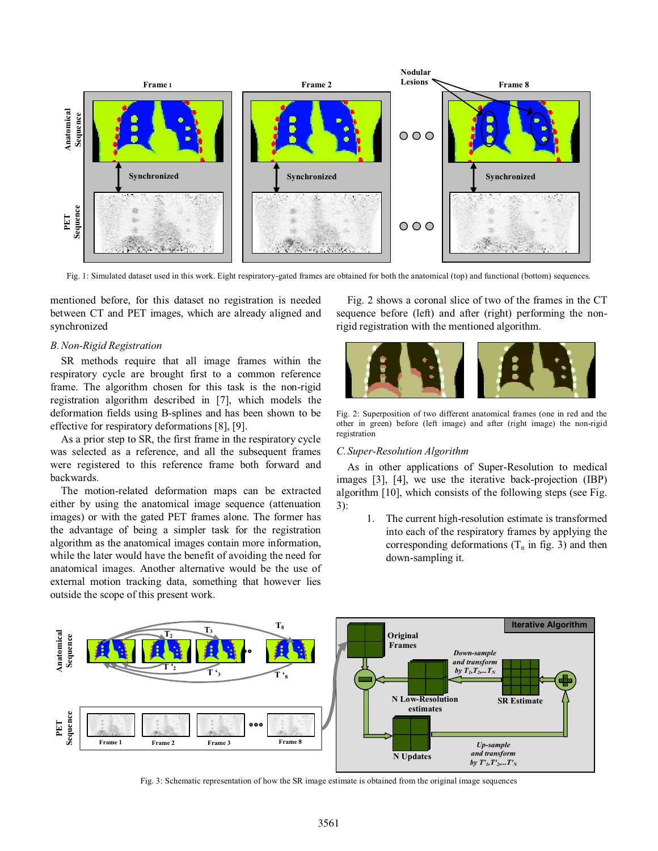

Fig. 1: Simulated dataset used in this work. Eight respiratory-gated frames are obtained for both the anatomical (top) and functional (bottom) sequences.

mentioned before, for this dataset no registration is needed between CT and PET images, which are already aligned and synchronized

#### *B. Non-Rigid Registration*

SR methods require that all image frames within the respiratory cycle are brought first to a common reference frame. The algorithm chosen for this task is the non-rigid registration algorithm described in [7], which models the deformation fields using B-splines and has been shown to be effective for respiratory deformations [8], [9].

As a prior step to SR, the first frame in the respiratory cycle was selected as a reference, and all the subsequent frames were registered to this reference frame both forward and backwards.

The motion-related deformation maps can be extracted either by using the anatomical image sequence (attenuation images) or with the gated PET frames alone. The former has the advantage of being a simpler task for the registration algorithm as the anatomical images contain more information, while the later would have the benefit of avoiding the need for anatomical images. Another alternative would be the use of external motion tracking data, something that however lies outside the scope of this present work.

Fig. 2 shows a coronal slice of two of the frames in the CT sequence before (left) and after (right) performing the nonrigid registration with the mentioned algorithm.



Fig. 2: Superposition of two different anatomical frames (one in red and the other in green) before (left image) and after (right image) the non-rigid registration

## *C.Super-Resolution Algorithm*

As in other applications of Super-Resolution to medical images [3], [4], we use the iterative back-projection (IBP) algorithm [10], which consists of the following steps (see Fig. 3):

> 1. The current high-resolution estimate is transformed into each of the respiratory frames by applying the corresponding deformations  $(T_n$  in fig. 3) and then down-sampling it.



Fig. 3: Schematic representation of how the SR image estimate is obtained from the original image sequences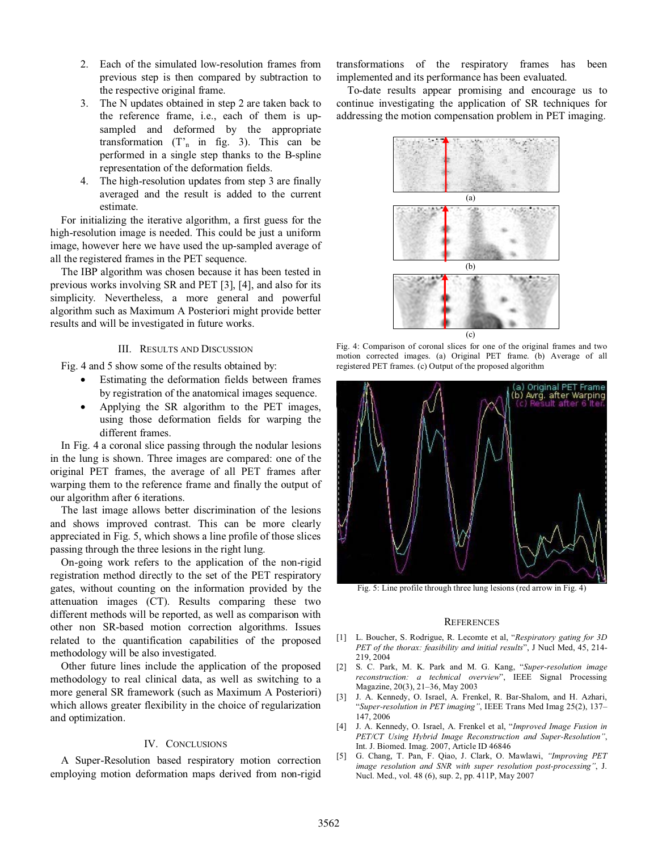- 2. Each of the simulated low-resolution frames from previous step is then compared by subtraction to the respective original frame.
- 3. The N updates obtained in step 2 are taken back to the reference frame, i.e., each of them is upsampled and deformed by the appropriate transformation  $(T'_n$  in fig. 3). This can be performed in a single step thanks to the B-spline representation of the deformation fields.
- 4. The high-resolution updates from step 3 are finally averaged and the result is added to the current estimate.

For initializing the iterative algorithm, a first guess for the high-resolution image is needed. This could be just a uniform image, however here we have used the up-sampled average of all the registered frames in the PET sequence.

The IBP algorithm was chosen because it has been tested in previous works involving SR and PET [3], [4], and also for its simplicity. Nevertheless, a more general and powerful algorithm such as Maximum A Posteriori might provide better results and will be investigated in future works.

# III. RESULTS AND DISCUSSION

Fig. 4 and 5 show some of the results obtained by:

- Estimating the deformation fields between frames by registration of the anatomical images sequence.
- Applying the SR algorithm to the PET images, using those deformation fields for warping the different frames.

In Fig. 4 a coronal slice passing through the nodular lesions in the lung is shown. Three images are compared: one of the original PET frames, the average of all PET frames after warping them to the reference frame and finally the output of our algorithm after 6 iterations.

The last image allows better discrimination of the lesions and shows improved contrast. This can be more clearly appreciated in Fig. 5, which shows a line profile of those slices passing through the three lesions in the right lung.

On-going work refers to the application of the non-rigid registration method directly to the set of the PET respiratory gates, without counting on the information provided by the attenuation images (CT). Results comparing these two different methods will be reported, as well as comparison with other non SR-based motion correction algorithms. Issues related to the quantification capabilities of the proposed methodology will be also investigated.

Other future lines include the application of the proposed methodology to real clinical data, as well as switching to a more general SR framework (such as Maximum A Posteriori) which allows greater flexibility in the choice of regularization and optimization.

# IV. CONCLUSIONS

A Super-Resolution based respiratory motion correction employing motion deformation maps derived from non-rigid transformations of the respiratory frames has been implemented and its performance has been evaluated.

To-date results appear promising and encourage us to continue investigating the application of SR techniques for addressing the motion compensation problem in PET imaging.



Fig. 4: Comparison of coronal slices for one of the original frames and two motion corrected images. (a) Original PET frame. (b) Average of all registered PET frames. (c) Output of the proposed algorithm



Fig. 5: Line profile through three lung lesions (red arrow in Fig. 4)

#### **REFERENCES**

- [1] L. Boucher, S. Rodrigue, R. Lecomte et al, "*Respiratory gating for 3D PET of the thorax: feasibility and initial results*", J Nucl Med, 45, 214- 219, 2004
- [2] S. C. Park, M. K. Park and M. G. Kang, "*Super-resolution image reconstruction: a technical overview*", IEEE Signal Processing Magazine, 20(3), 21–36, May 2003
- [3] J. A. Kennedy, O. Israel, A. Frenkel, R. Bar-Shalom, and H. Azhari, "*Super-resolution in PET imaging"*, IEEE Trans Med Imag 25(2), 137– 147, 2006
- [4] J. A. Kennedy, O. Israel, A. Frenkel et al, "*Improved Image Fusion in PET/CT Using Hybrid Image Reconstruction and Super-Resolution"*, Int. J. Biomed. Imag. 2007, Article ID 46846
- [5] G. Chang, T. Pan, F. Qiao, J. Clark, O. Mawlawi, *"Improving PET image resolution and SNR with super resolution post-processing"*, J. Nucl. Med., vol. 48 (6), sup. 2, pp. 411P, May 2007